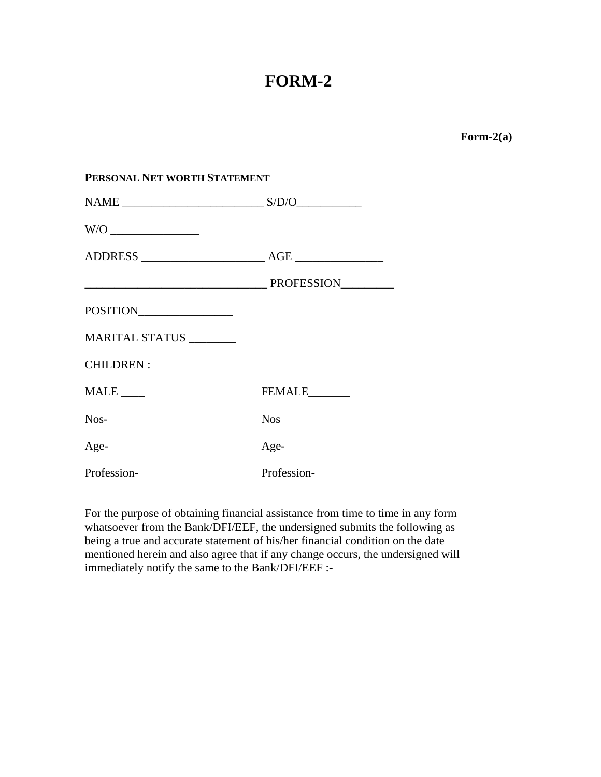# **FORM-2**

**Form-2(a)** 

| PERSONAL NET WORTH STATEMENT |               |
|------------------------------|---------------|
|                              |               |
|                              |               |
|                              |               |
|                              |               |
| POSITION                     |               |
| MARITAL STATUS               |               |
| <b>CHILDREN:</b>             |               |
| $MALE$ <sub>____</sub>       | FEMALE_______ |
| Nos-                         | <b>Nos</b>    |
| Age-                         | Age-          |
| Profession-                  | Profession-   |

For the purpose of obtaining financial assistance from time to time in any form whatsoever from the Bank/DFI/EEF, the undersigned submits the following as being a true and accurate statement of his/her financial condition on the date mentioned herein and also agree that if any change occurs, the undersigned will immediately notify the same to the Bank/DFI/EEF :-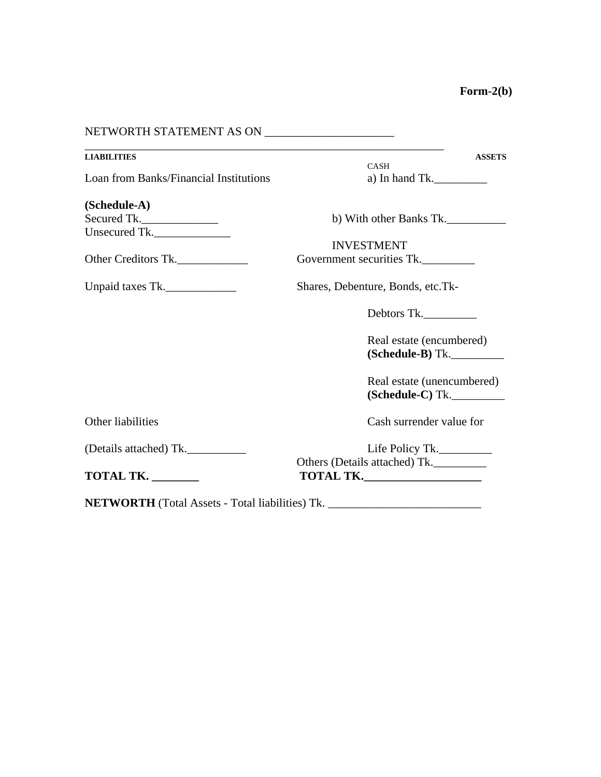| NETWORTH STATEMENT AS ON ____________________                |                                                                                                                                                                         |
|--------------------------------------------------------------|-------------------------------------------------------------------------------------------------------------------------------------------------------------------------|
| <b>LIABILITIES</b><br>Loan from Banks/Financial Institutions | <u> 1989 - Johann Stoff, deutscher Stoff, der Stoff, der Stoff, der Stoff, der Stoff, der Stoff, der Stoff, der S</u><br><b>ASSETS</b><br><b>CASH</b><br>a) In hand Tk. |
| (Schedule-A)<br>Secured Tk.                                  | b) With other Banks Tk.                                                                                                                                                 |
| Unsecured Tk.<br>Other Creditors Tk.                         | <b>INVESTMENT</b><br>Government securities Tk.                                                                                                                          |
| Unpaid taxes Tk.                                             | Shares, Debenture, Bonds, etc.Tk-                                                                                                                                       |
|                                                              | Debtors Tk.                                                                                                                                                             |
|                                                              | Real estate (encumbered)<br>$(Schedule-B) Tk.$                                                                                                                          |
|                                                              | Real estate (unencumbered)<br>(Schedule-C) Tk.                                                                                                                          |
| Other liabilities                                            | Cash surrender value for                                                                                                                                                |
| (Details attached) Tk.                                       | Life Policy Tk.<br>Others (Details attached) Tk.                                                                                                                        |
| TOTAL TK.                                                    |                                                                                                                                                                         |
| <b>NETWORTH</b> (Total Assets - Total liabilities) Tk.       |                                                                                                                                                                         |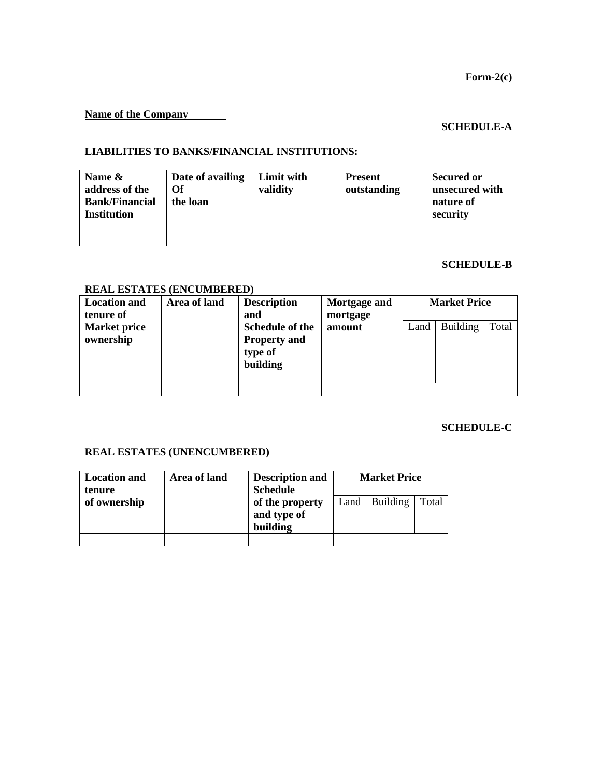## **Name of the Company**

# **SCHEDULE-A**

#### **LIABILITIES TO BANKS/FINANCIAL INSTITUTIONS:**

| Name $\&$<br>address of the<br><b>Bank/Financial</b><br><b>Institution</b> | Date of availing<br>Of<br>the loan | Limit with<br>validity | <b>Present</b><br>outstanding | <b>Secured or</b><br>unsecured with<br>nature of<br>security |
|----------------------------------------------------------------------------|------------------------------------|------------------------|-------------------------------|--------------------------------------------------------------|
|                                                                            |                                    |                        |                               |                                                              |

#### **SCHEDULE-B**

# **REAL ESTATES (ENCUMBERED)**

| <b>Location and</b><br>tenure of | Area of land | <b>Description</b><br>and                                     | Mortgage and<br>mortgage | <b>Market Price</b> |                 |       |
|----------------------------------|--------------|---------------------------------------------------------------|--------------------------|---------------------|-----------------|-------|
| <b>Market price</b><br>ownership |              | Schedule of the<br><b>Property and</b><br>type of<br>building | amount                   | Land                | <b>Building</b> | Total |
|                                  |              |                                                               |                          |                     |                 |       |

# **SCHEDULE-C**

#### **REAL ESTATES (UNENCUMBERED)**

| <b>Location and</b><br>tenure | Area of land | <b>Description and</b><br><b>Schedule</b>  | <b>Market Price</b> |                 |       |
|-------------------------------|--------------|--------------------------------------------|---------------------|-----------------|-------|
| of ownership                  |              | of the property<br>and type of<br>building |                     | Land   Building | Total |
|                               |              |                                            |                     |                 |       |